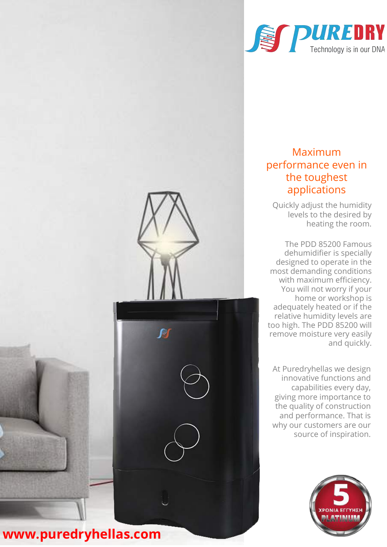

## Maximum performance even in the toughest applications

Quickly adjust the humidity levels to the desired by heating the room.

The PDD 85200 Famous dehumidifier is specially designed to operate in the most demanding conditions with maximum efficiency. You will not worry if your home or workshop is adequately heated or if the relative humidity levels are too high. The PDD 85200 will remove moisture very easily and quickly.

At Puredryhellas we design innovative functions and capabilities every day, giving more importance to the quality of construction and performance. That is why our customers are our source of inspiration.